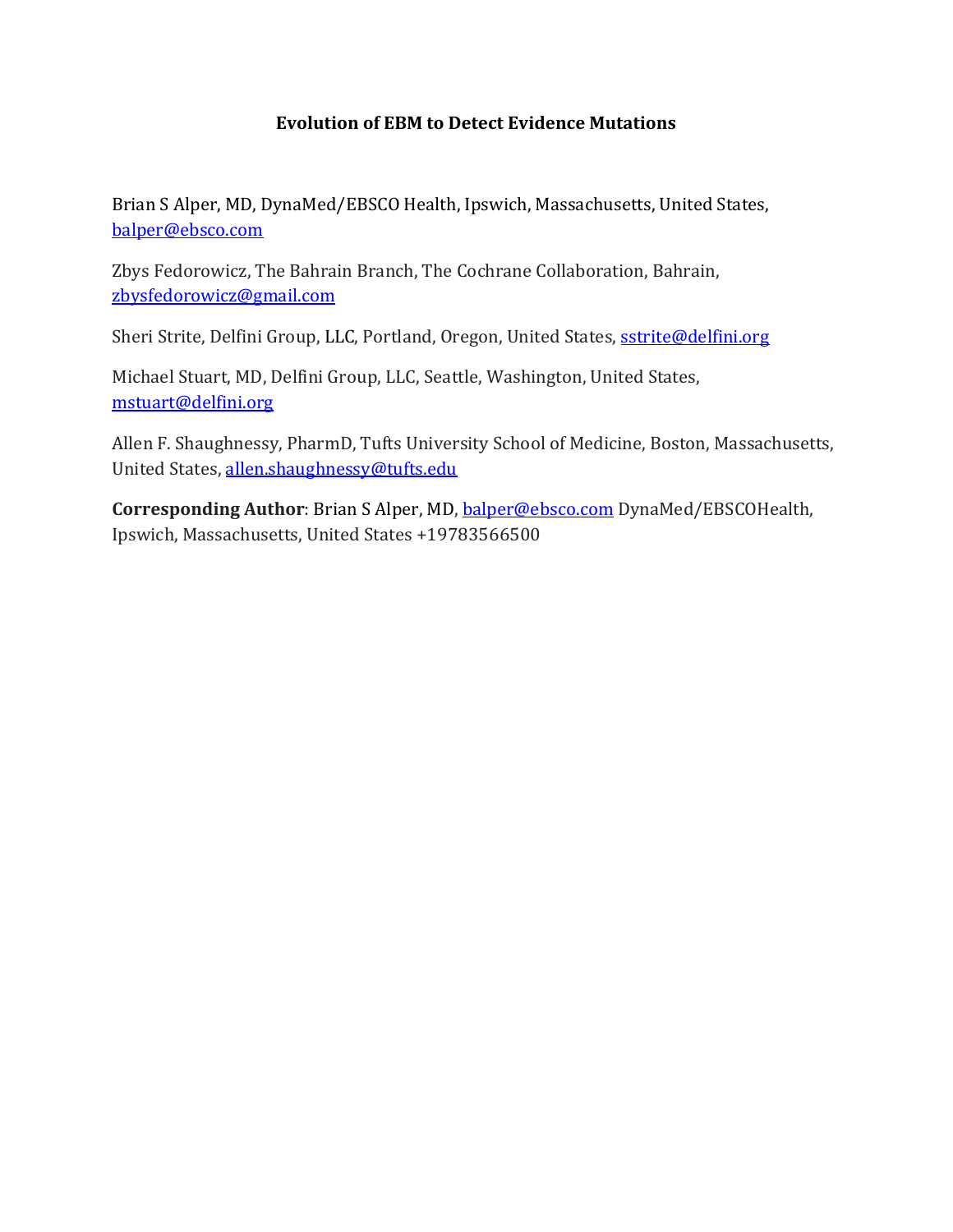# **Evolution of EBM to Detect Evidence Mutations**

Brian S Alper, MD, DynaMed/EBSCO Health, Ipswich, Massachusetts, United States, [balper@ebsco.com](mailto:balper@ebsco.com)

Zbys Fedorowicz, The Bahrain Branch, The Cochrane Collaboration, Bahrain, [zbysfedorowicz@gmail.com](mailto:zbysfedorowicz@gmail.com)

Sheri Strite, Delfini Group, LLC, Portland, Oregon, United States, [sstrite@delfini.org](mailto:sstrite@msn.com)

Michael Stuart, MD, Delfini Group, LLC, Seattle, Washington, United States, [mstuart@delfini.org](mailto:mstuart@delfini.org)

Allen F. Shaughnessy, PharmD, Tufts University School of Medicine, Boston, Massachusetts, United States, [allen.shaughnessy@tufts.edu](mailto:allen.shaughnessy@tufts.edu)

**Corresponding Author**: Brian S Alper, MD, [balper@ebsco.com](mailto:balper@ebsco.com) DynaMed/EBSCOHealth, Ipswich, Massachusetts, United States +19783566500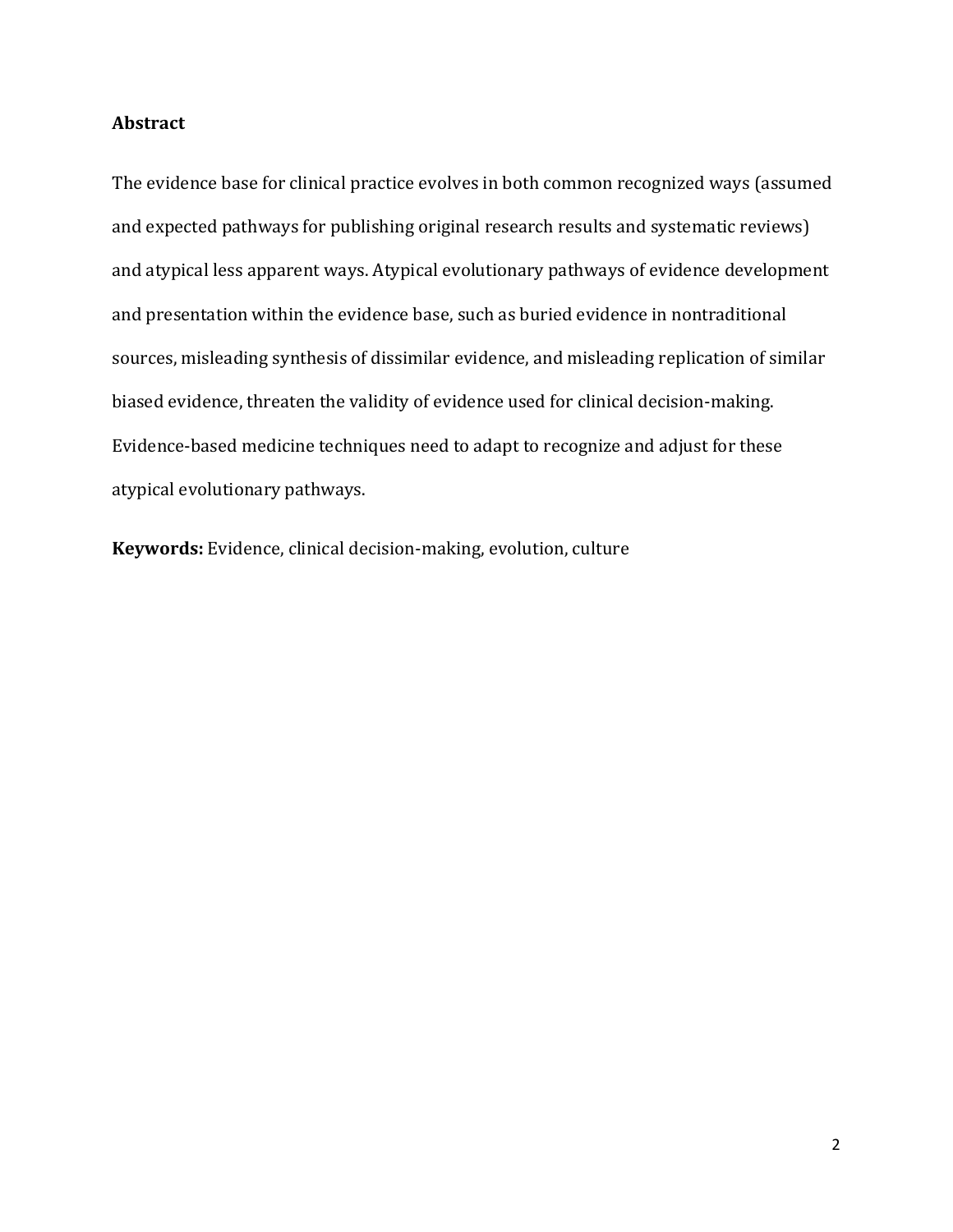#### **Abstract**

The evidence base for clinical practice evolves in both common recognized ways (assumed and expected pathways for publishing original research results and systematic reviews) and atypical less apparent ways. Atypical evolutionary pathways of evidence development and presentation within the evidence base, such as buried evidence in nontraditional sources, misleading synthesis of dissimilar evidence, and misleading replication of similar biased evidence, threaten the validity of evidence used for clinical decision-making. Evidence-based medicine techniques need to adapt to recognize and adjust for these atypical evolutionary pathways.

**Keywords:** Evidence, clinical decision-making, evolution, culture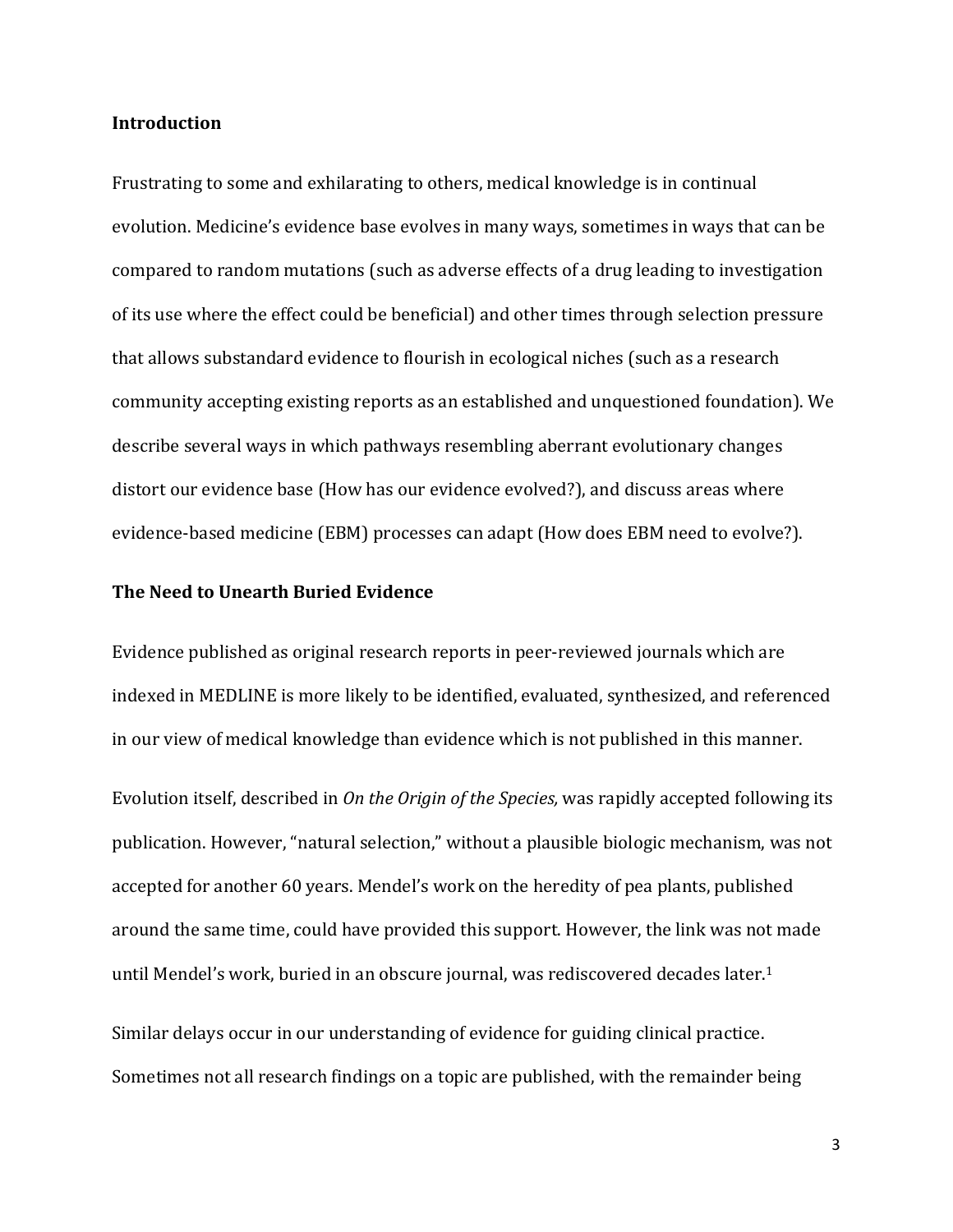#### **Introduction**

Frustrating to some and exhilarating to others, medical knowledge is in continual evolution. Medicine's evidence base evolves in many ways, sometimes in ways that can be compared to random mutations (such as adverse effects of a drug leading to investigation of its use where the effect could be beneficial) and other times through selection pressure that allows substandard evidence to flourish in ecological niches (such as a research community accepting existing reports as an established and unquestioned foundation). We describe several ways in which pathways resembling aberrant evolutionary changes distort our evidence base (How has our evidence evolved?), and discuss areas where evidence-based medicine (EBM) processes can adapt (How does EBM need to evolve?).

#### **The Need to Unearth Buried Evidence**

Evidence published as original research reports in peer-reviewed journals which are indexed in MEDLINE is more likely to be identified, evaluated, synthesized, and referenced in our view of medical knowledge than evidence which is not published in this manner.

Evolution itself, described in *On the Origin of the Species,* was rapidly accepted following its publication. However, "natural selection," without a plausible biologic mechanism, was not accepted for another 60 years. Mendel's work on the heredity of pea plants, published around the same time, could have provided this support. However, the link was not made until Mendel's work, buried in an obscure journal, was rediscovered decades later.<sup>1</sup>

Similar delays occur in our understanding of evidence for guiding clinical practice. Sometimes not all research findings on a topic are published, with the remainder being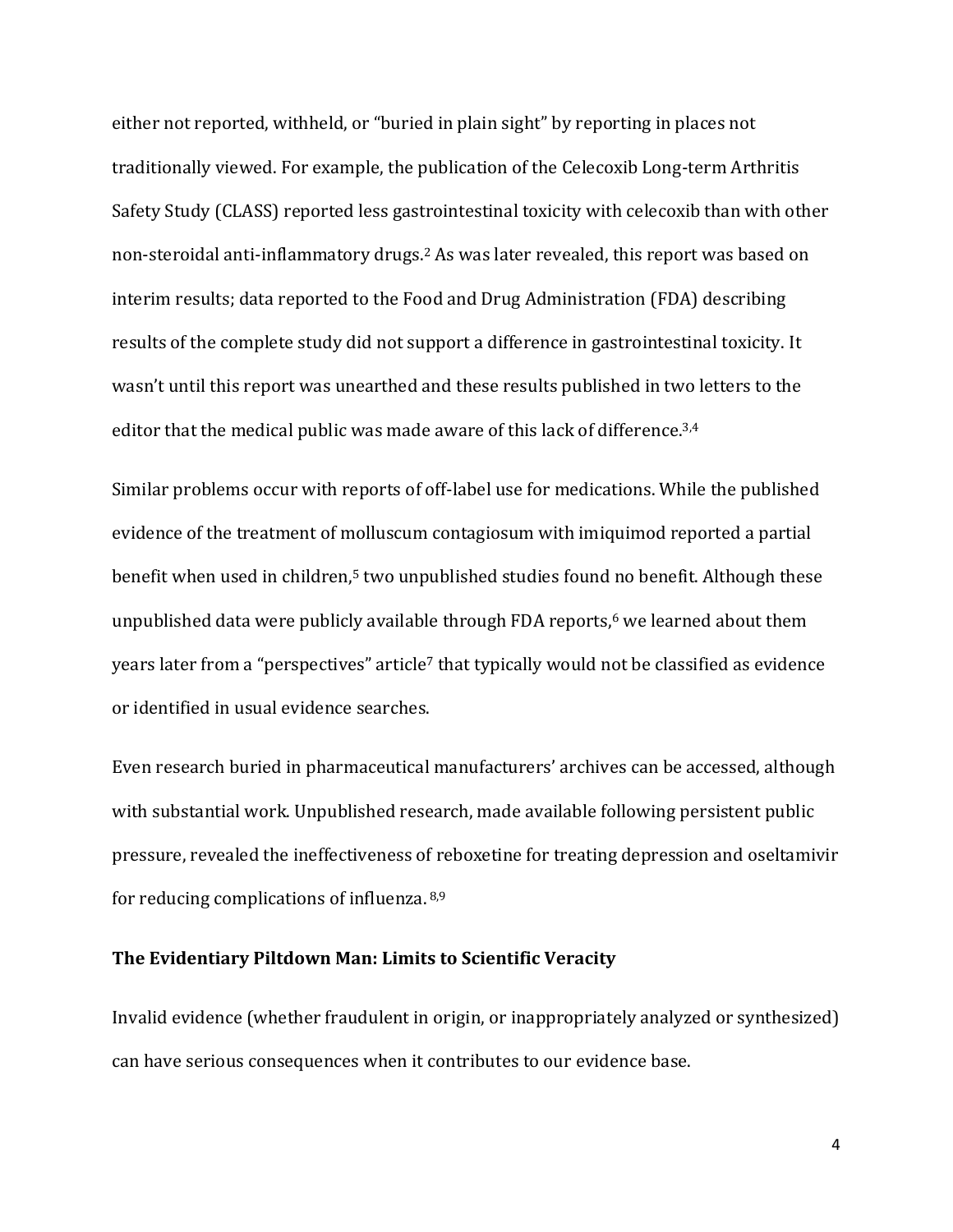either not reported, withheld, or "buried in plain sight" by reporting in places not traditionally viewed. For example, the publication of the Celecoxib Long-term Arthritis Safety Study (CLASS) reported less gastrointestinal toxicity with celecoxib than with other non-steroidal anti-inflammatory drugs. <sup>2</sup> As was later revealed, this report was based on interim results; data reported to the Food and Drug Administration (FDA) describing results of the complete study did not support a difference in gastrointestinal toxicity. It wasn't until this report was unearthed and these results published in two letters to the editor that the medical public was made aware of this lack of difference.<sup>3,4</sup>

Similar problems occur with reports of off-label use for medications. While the published evidence of the treatment of molluscum contagiosum with imiquimod reported a partial benefit when used in children,<sup>5</sup> two unpublished studies found no benefit. Although these unpublished data were publicly available through FDA reports, <sup>6</sup> we learned about them years later from a "perspectives" article<sup>7</sup> that typically would not be classified as evidence or identified in usual evidence searches.

Even research buried in pharmaceutical manufacturers' archives can be accessed, although with substantial work. Unpublished research, made available following persistent public pressure, revealed the ineffectiveness of reboxetine for treating depression and oseltamivir for reducing complications of influenza. 8,9

#### **The Evidentiary Piltdown Man: Limits to Scientific Veracity**

Invalid evidence (whether fraudulent in origin, or inappropriately analyzed or synthesized) can have serious consequences when it contributes to our evidence base.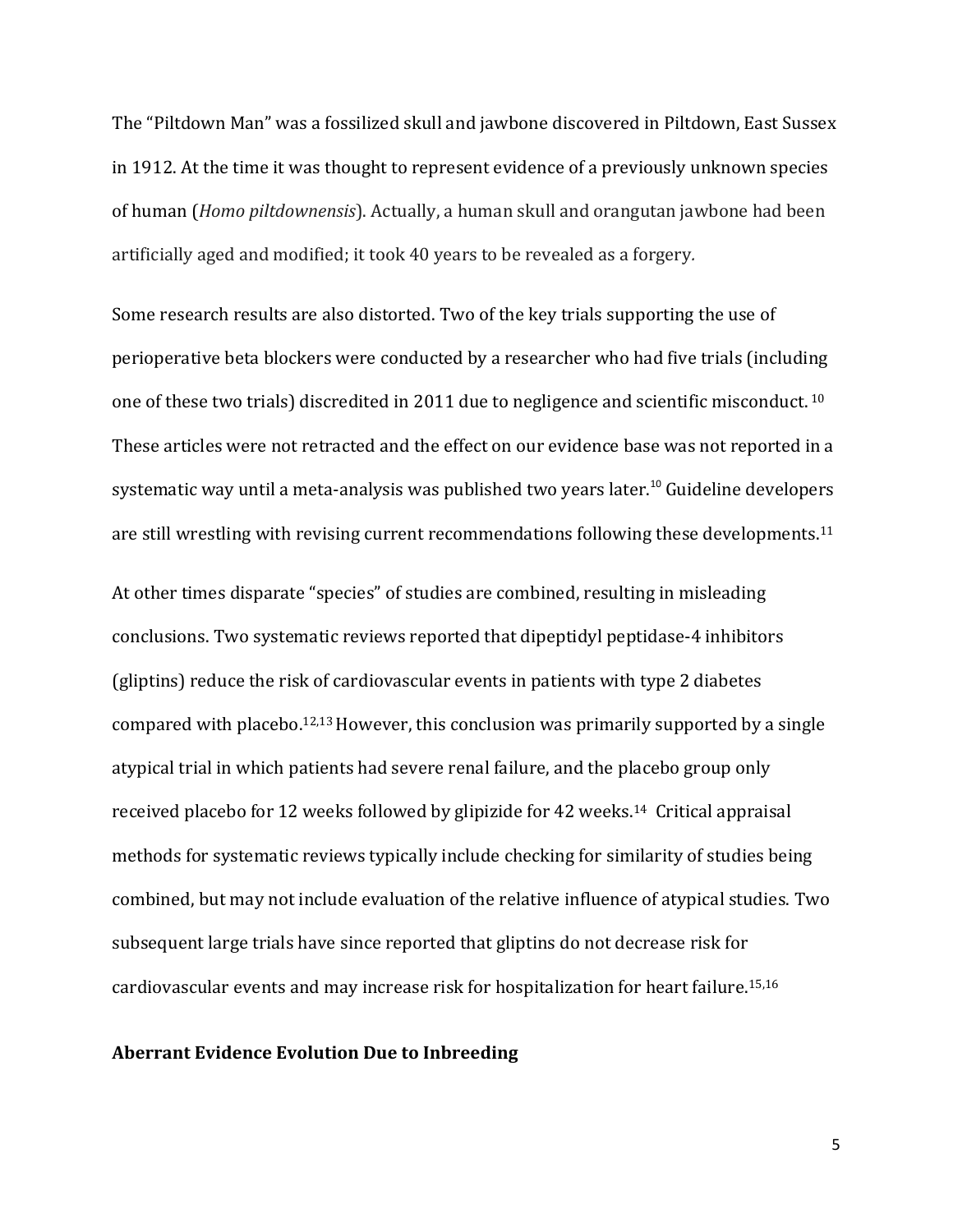The "Piltdown Man" was a fossilized skull and jawbone discovered in Piltdown, East Sussex in 1912. At the time it was thought to represent evidence of a previously unknown species of human (*Homo piltdownensis*). Actually, a human skull and orangutan jawbone had been artificially aged and modified; it took 40 years to be revealed as a forgery*.* 

<span id="page-4-0"></span>Some research results are also distorted. Two of the key trials supporting the use of perioperative beta blockers were conducted by a researcher who had five trials (including one of these two trials) discredited in 2011 due to negligence and scientific misconduct. <sup>10</sup> These articles were not retracted and the effect on our evidence base was not reported in a systematic way until a meta-analysis was published two years later.<sup>[10](#page-4-0)</sup> Guideline developers are still wrestling with revising current recommendations following these developments.<sup>11</sup>

At other times disparate "species" of studies are combined, resulting in misleading conclusions. Two systematic reviews reported that dipeptidyl peptidase-4 inhibitors (gliptins) reduce the risk of cardiovascular events in patients with type 2 diabetes compared with placebo.<sup>12,13</sup> However, this conclusion was primarily supported by a single atypical trial in which patients had severe renal failure, and the placebo group only received placebo for 12 weeks followed by glipizide for 42 weeks. <sup>14</sup> Critical appraisal methods for systematic reviews typically include checking for similarity of studies being combined, but may not include evaluation of the relative influence of atypical studies. Two subsequent large trials have since reported that gliptins do not decrease risk for cardiovascular events and may increase risk for hospitalization for heart failure.15,16

#### **Aberrant Evidence Evolution Due to Inbreeding**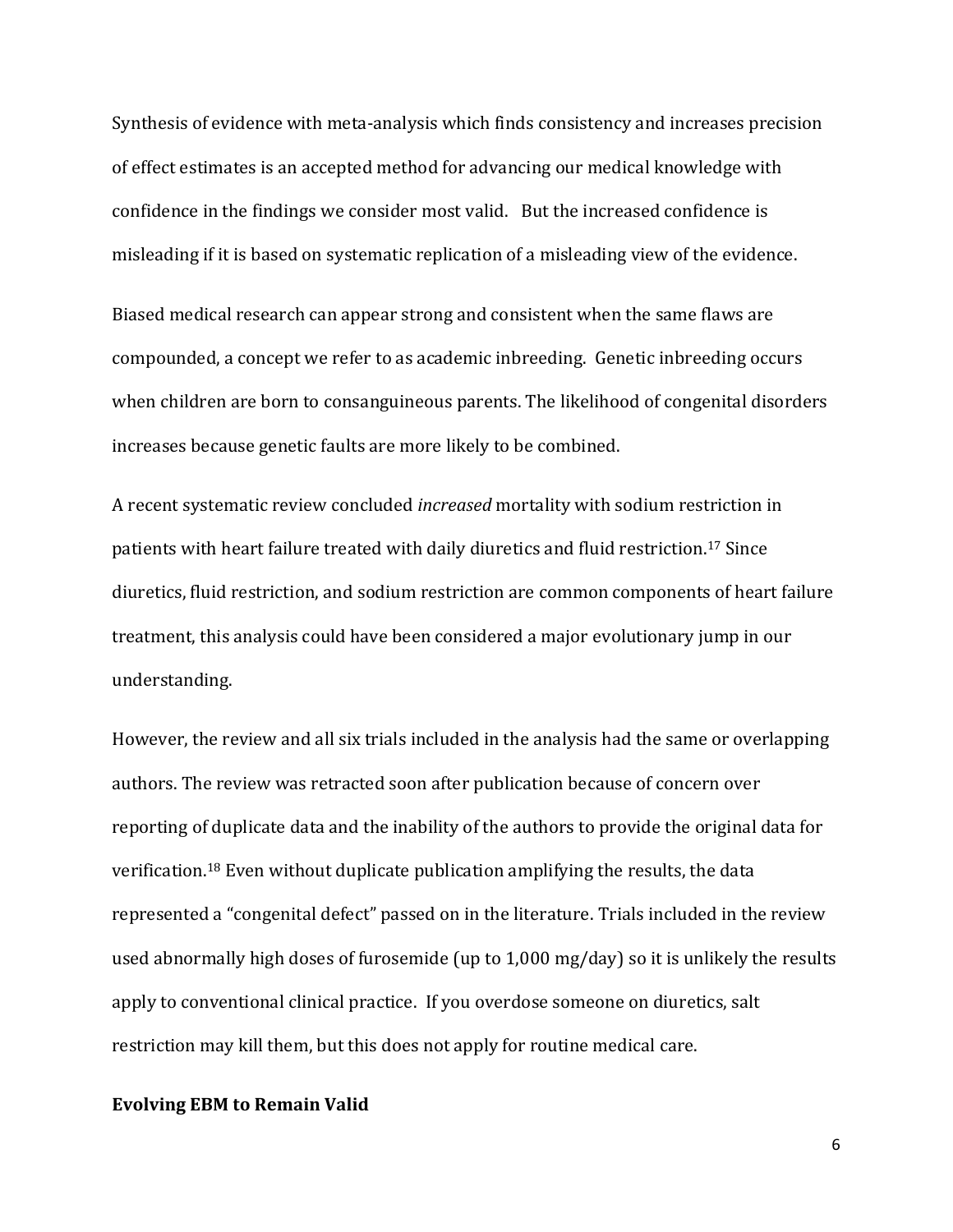Synthesis of evidence with meta-analysis which finds consistency and increases precision of effect estimates is an accepted method for advancing our medical knowledge with confidence in the findings we consider most valid. But the increased confidence is misleading if it is based on systematic replication of a misleading view of the evidence.

Biased medical research can appear strong and consistent when the same flaws are compounded, a concept we refer to as academic inbreeding. Genetic inbreeding occurs when children are born to consanguineous parents. The likelihood of congenital disorders increases because genetic faults are more likely to be combined.

A recent systematic review concluded *increased* mortality with sodium restriction in patients with heart failure treated with daily diuretics and fluid restriction. <sup>17</sup> Since diuretics, fluid restriction, and sodium restriction are common components of heart failure treatment, this analysis could have been considered a major evolutionary jump in our understanding.

However, the review and all six trials included in the analysis had the same or overlapping authors. The review was retracted soon after publication because of concern over reporting of duplicate data and the inability of the authors to provide the original data for verification. <sup>18</sup> Even without duplicate publication amplifying the results, the data represented a "congenital defect" passed on in the literature. Trials included in the review used abnormally high doses of furosemide (up to 1,000 mg/day) so it is unlikely the results apply to conventional clinical practice. If you overdose someone on diuretics, salt restriction may kill them, but this does not apply for routine medical care.

### **Evolving EBM to Remain Valid**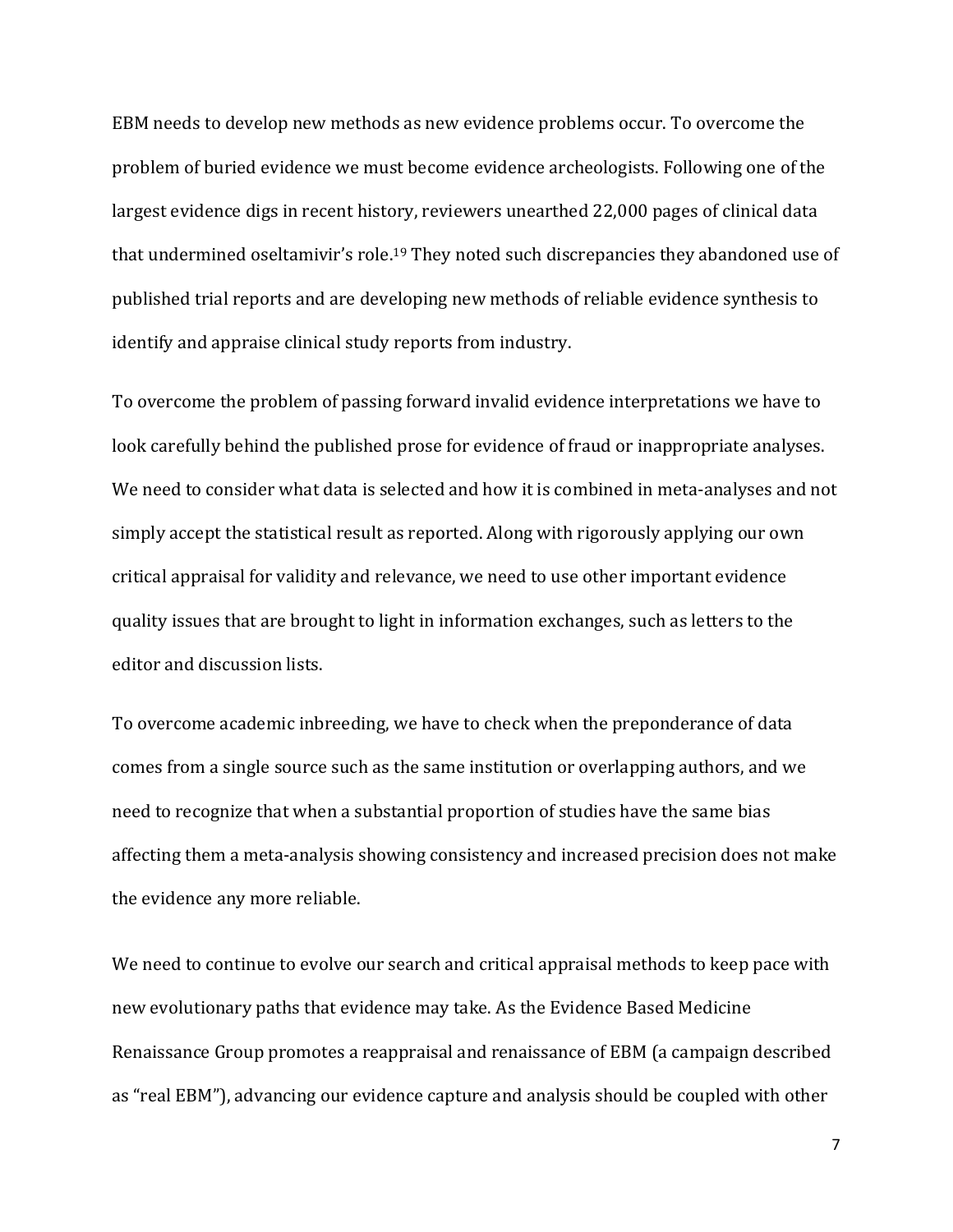EBM needs to develop new methods as new evidence problems occur. To overcome the problem of buried evidence we must become evidence archeologists. Following one of the largest evidence digs in recent history, reviewers unearthed 22,000 pages of clinical data that undermined oseltamivir's role.<sup>19</sup> They noted such discrepancies they abandoned use of published trial reports and are developing new methods of reliable evidence synthesis to identify and appraise clinical study reports from industry.

To overcome the problem of passing forward invalid evidence interpretations we have to look carefully behind the published prose for evidence of fraud or inappropriate analyses. We need to consider what data is selected and how it is combined in meta-analyses and not simply accept the statistical result as reported. Along with rigorously applying our own critical appraisal for validity and relevance, we need to use other important evidence quality issues that are brought to light in information exchanges, such as letters to the editor and discussion lists.

To overcome academic inbreeding, we have to check when the preponderance of data comes from a single source such as the same institution or overlapping authors, and we need to recognize that when a substantial proportion of studies have the same bias affecting them a meta-analysis showing consistency and increased precision does not make the evidence any more reliable.

We need to continue to evolve our search and critical appraisal methods to keep pace with new evolutionary paths that evidence may take. As the Evidence Based Medicine Renaissance Group promotes a reappraisal and renaissance of EBM (a campaign described as "real EBM"), advancing our evidence capture and analysis should be coupled with other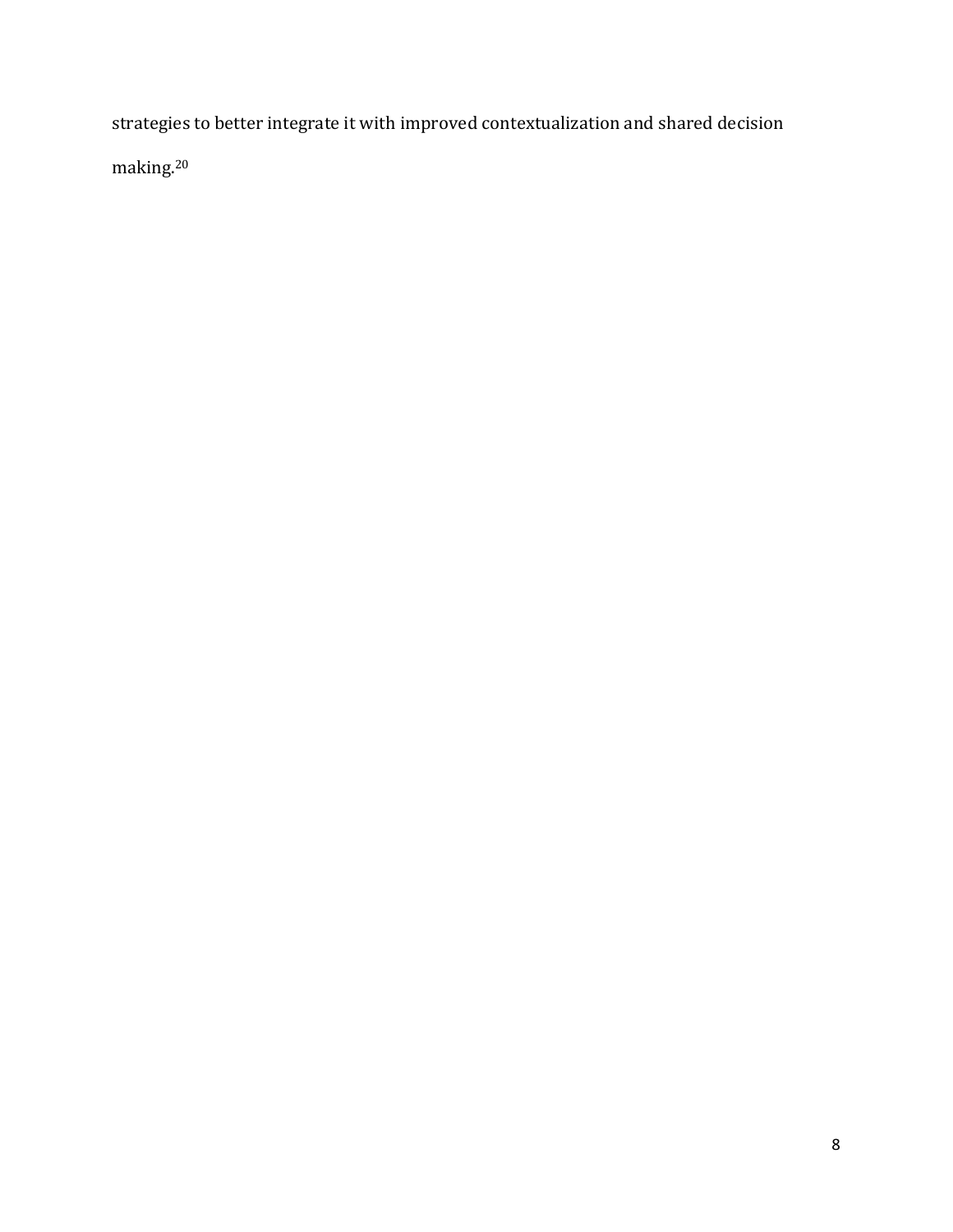strategies to better integrate it with improved contextualization and shared decision making.20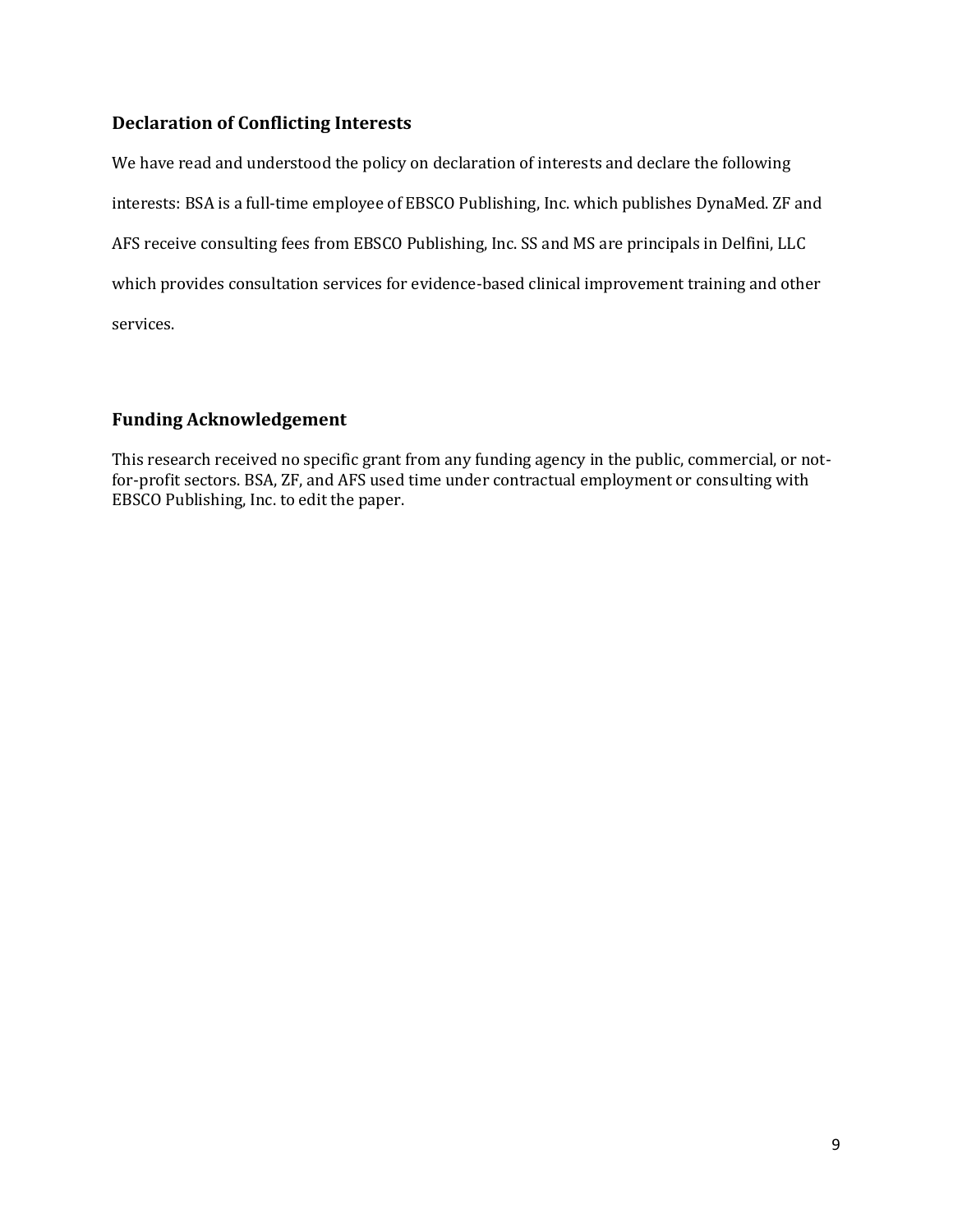# **Declaration of Conflicting Interests**

We have read and understood the policy on declaration of interests and declare the following interests: BSA is a full-time employee of EBSCO Publishing, Inc. which publishes DynaMed. ZF and AFS receive consulting fees from EBSCO Publishing, Inc. SS and MS are principals in Delfini, LLC which provides consultation services for evidence-based clinical improvement training and other services.

## **Funding Acknowledgement**

This research received no specific grant from any funding agency in the public, commercial, or notfor-profit sectors. BSA, ZF, and AFS used time under contractual employment or consulting with EBSCO Publishing, Inc. to edit the paper.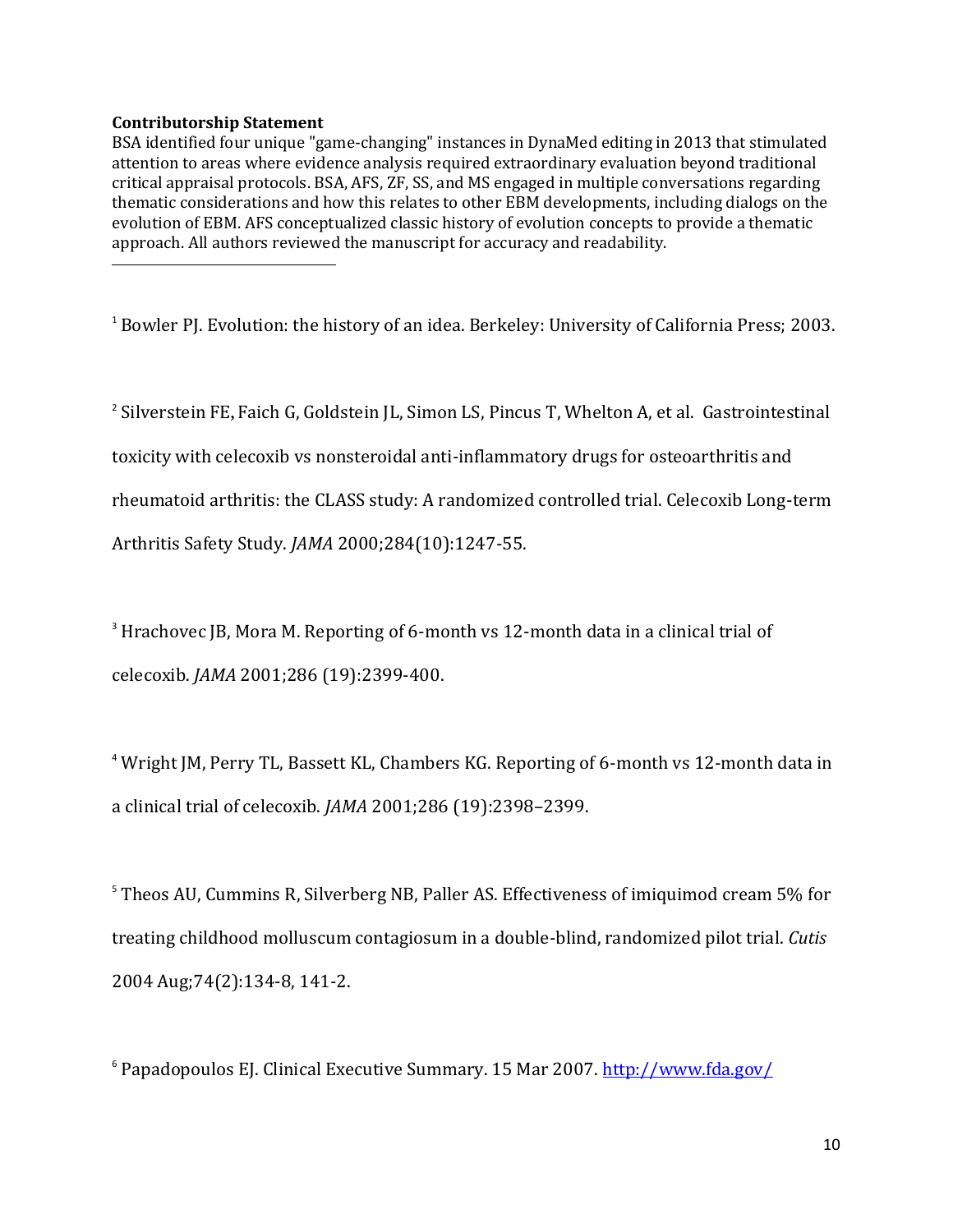#### **Contributorship Statement**

 $\overline{\phantom{a}}$ 

BSA identified four unique "game-changing" instances in DynaMed editing in 2013 that stimulated attention to areas where evidence analysis required extraordinary evaluation beyond traditional critical appraisal protocols. BSA, AFS, ZF, SS, and MS engaged in multiple conversations regarding thematic considerations and how this relates to other EBM developments, including dialogs on the evolution of EBM. AFS conceptualized classic history of evolution concepts to provide a thematic approach. All authors reviewed the manuscript for accuracy and readability.

<sup>1</sup> Bowler PJ. Evolution: the history of an idea. Berkeley: University of California Press; 2003.

2 [Silverstein FE](http://www.ncbi.nlm.nih.gov/pubmed?term=Silverstein%20FE%5BAuthor%5D&cauthor=true&cauthor_uid=10979111)**,** [Faich G,](http://www.ncbi.nlm.nih.gov/pubmed?term=Faich%20G%5BAuthor%5D&cauthor=true&cauthor_uid=10979111) [Goldstein JL,](http://www.ncbi.nlm.nih.gov/pubmed?term=Goldstein%20JL%5BAuthor%5D&cauthor=true&cauthor_uid=10979111) Simon LS, Pincus T, Whelton A, et al. Gastrointestinal

toxicity with celecoxib vs nonsteroidal anti-inflammatory drugs for osteoarthritis and

rheumatoid arthritis: the CLASS study: A randomized controlled trial. Celecoxib Long-term

Arthritis Safety Study. *JAMA* 2000;284(10):1247-55.

<sup>3</sup> Hrachovec JB, Mora M. Reporting of 6-month vs 12-month data in a clinical trial of celecoxib. *JAMA* 2001;286 (19):2399-400.

<sup>4</sup> Wright JM, Perry TL, Bassett KL, Chambers KG. Reporting of 6-month vs 12-month data in a clinical trial of celecoxib. *JAMA* 2001;286 (19):2398–2399.

<sup>5</sup> Theos AU, Cummins R, Silverberg NB, Paller AS. Effectiveness of imiquimod cream 5% for treating childhood molluscum contagiosum in a double-blind, randomized pilot trial. *Cutis* 2004 Aug;74(2):134-8, 141-2.

<sup>6</sup> Papadopoulos EJ. Clinical Executive Summary. 15 Mar 2007.<http://www.fda.gov/>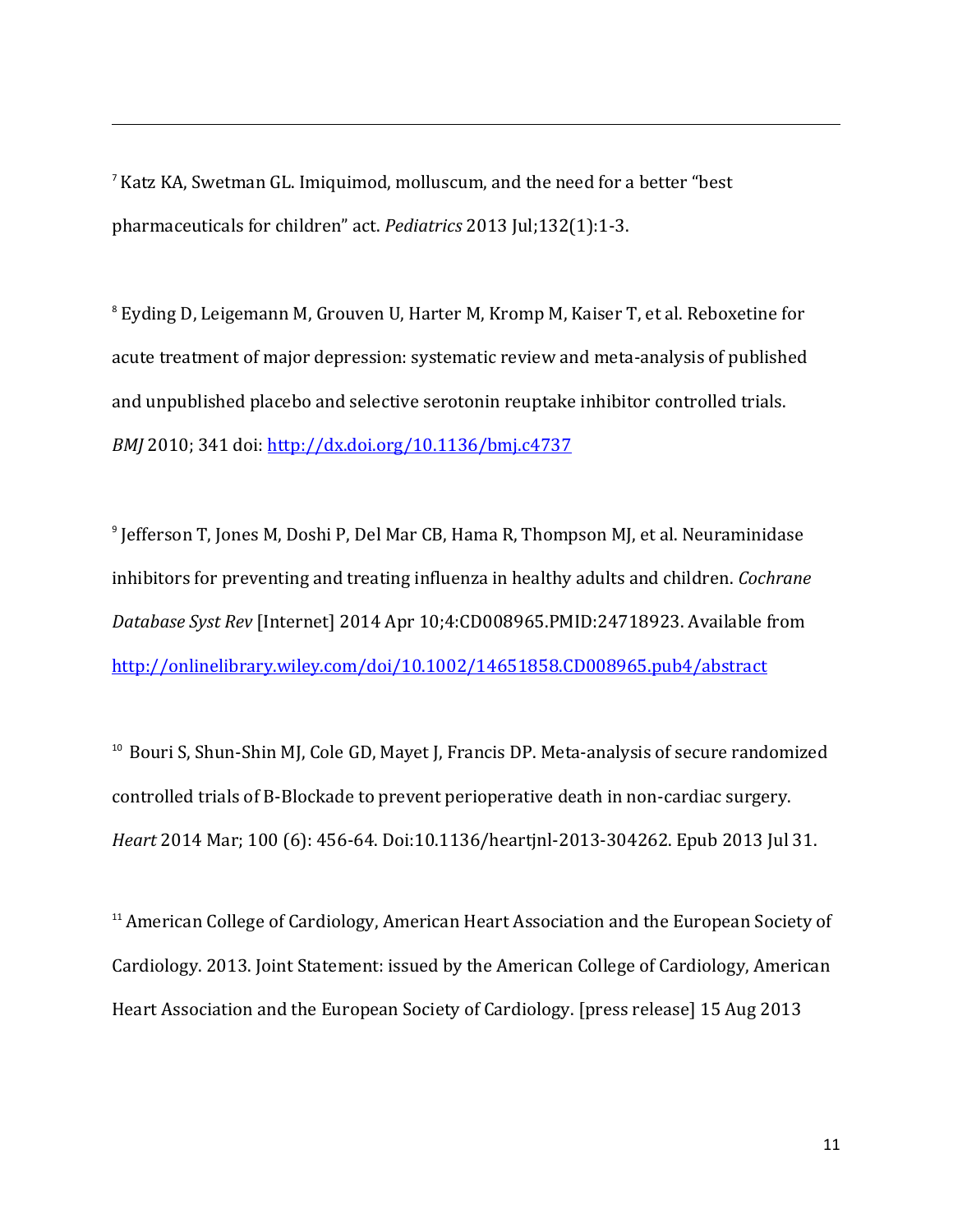<sup>7</sup> [Katz KA,](http://www.ncbi.nlm.nih.gov/pubmed?term=Katz%20KA%5BAuthor%5D&cauthor=true&cauthor_uid=23796740) [Swetman GL.](http://www.ncbi.nlm.nih.gov/pubmed?term=Swetman%20GL%5BAuthor%5D&cauthor=true&cauthor_uid=23796740) Imiquimod, molluscum, and the need for a better "best pharmaceuticals for children" act. *[Pediatrics](http://www.ncbi.nlm.nih.gov/pubmed/?term=23796740)* 2013 Jul;132(1):1-3.

 $\overline{\phantom{a}}$ 

<sup>8</sup> Eyding D, Leigemann M, Grouven U, Harter M, Kromp M, Kaiser T, et al. Reboxetine for acute treatment of major depression: systematic review and meta-analysis of published and unpublished placebo and selective serotonin reuptake inhibitor controlled trials. *BMJ* 2010; 341 doi:<http://dx.doi.org/10.1136/bmj.c4737>

9 Jefferson T, Jones M, Doshi P, Del Mar CB, Hama R, Thompson MJ, et al. Neuraminidase inhibitors for preventing and treating influenza in healthy adults and children. *Cochrane Database Syst Rev* [Internet] 2014 Apr 10;4:CD008965.PMID:24718923. Available from <http://onlinelibrary.wiley.com/doi/10.1002/14651858.CD008965.pub4/abstract>

<sup>10</sup> Bouri S, Shun-Shin MJ, Cole GD, Mayet J, Francis DP. Meta-analysis of secure randomized controlled trials of B-Blockade to prevent perioperative death in non-cardiac surgery. *Heart* 2014 Mar; 100 (6): 456-64. Doi:10.1136/heartjnl-2013-304262. Epub 2013 Jul 31.

<sup>11</sup> American College of Cardiology, American Heart Association and the European Society of Cardiology. 2013. Joint Statement: issued by the American College of Cardiology, American Heart Association and the European Society of Cardiology. [press release] 15 Aug 2013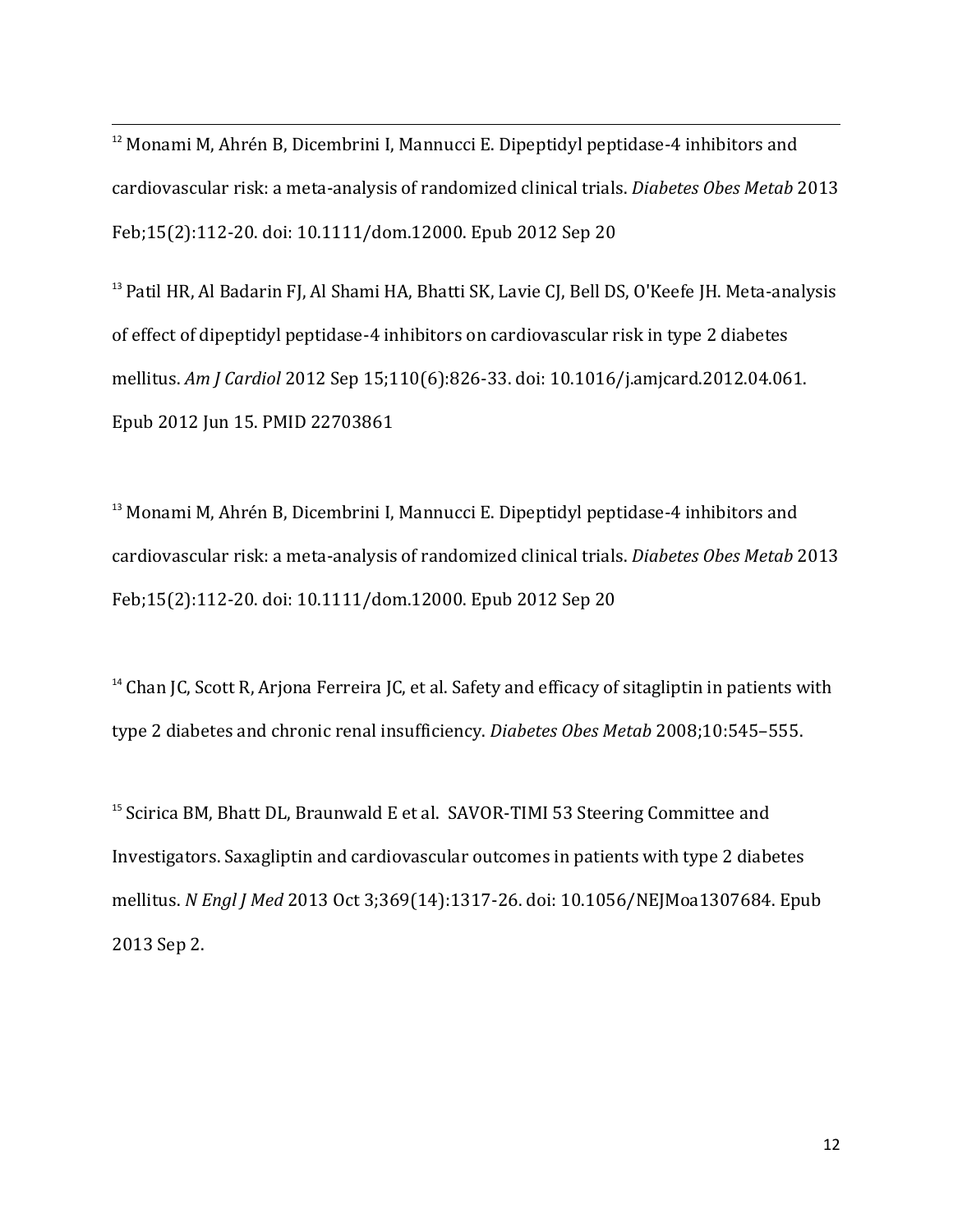<sup>12</sup> [Monami M,](http://www.ncbi.nlm.nih.gov/pubmed?term=Monami%20M%5BAuthor%5D&cauthor=true&cauthor_uid=22925682) [Ahrén B,](http://www.ncbi.nlm.nih.gov/pubmed?term=Ahr%C3%A9n%20B%5BAuthor%5D&cauthor=true&cauthor_uid=22925682) [Dicembrini I,](http://www.ncbi.nlm.nih.gov/pubmed?term=Dicembrini%20I%5BAuthor%5D&cauthor=true&cauthor_uid=22925682) [Mannucci E.](http://www.ncbi.nlm.nih.gov/pubmed?term=Mannucci%20E%5BAuthor%5D&cauthor=true&cauthor_uid=22925682) Dipeptidyl peptidase-4 inhibitors and cardiovascular risk: a meta-analysis of randomized clinical trials. *[Diabetes Obes Metab](http://www.ncbi.nlm.nih.gov/pubmed/?term=22925682)* 2013 Feb;15(2):112-20. doi: 10.1111/dom.12000. Epub 2012 Sep 20

 $\overline{\phantom{a}}$ 

<sup>13</sup> Patil HR, Al Badarin FJ, Al Shami HA, Bhatti SK, Lavie CJ, Bell DS, O'Keefe JH. Meta-analysis of effect of dipeptidyl peptidase-4 inhibitors on cardiovascular risk in type 2 diabetes mellitus. *Am J Cardiol* 2012 Sep 15;110(6):826-33. doi: 10.1016/j.amjcard.2012.04.061. Epub 2012 Jun 15. PMID 22703861

<sup>13</sup> [Monami M,](http://www.ncbi.nlm.nih.gov/pubmed?term=Monami%20M%5BAuthor%5D&cauthor=true&cauthor_uid=22925682) [Ahrén B,](http://www.ncbi.nlm.nih.gov/pubmed?term=Ahr%C3%A9n%20B%5BAuthor%5D&cauthor=true&cauthor_uid=22925682) [Dicembrini I,](http://www.ncbi.nlm.nih.gov/pubmed?term=Dicembrini%20I%5BAuthor%5D&cauthor=true&cauthor_uid=22925682) [Mannucci E.](http://www.ncbi.nlm.nih.gov/pubmed?term=Mannucci%20E%5BAuthor%5D&cauthor=true&cauthor_uid=22925682) Dipeptidyl peptidase-4 inhibitors and cardiovascular risk: a meta-analysis of randomized clinical trials. *[Diabetes Obes Metab](http://www.ncbi.nlm.nih.gov/pubmed/?term=22925682)* 2013 Feb;15(2):112-20. doi: 10.1111/dom.12000. Epub 2012 Sep 20

<sup>14</sup> Chan JC, Scott R, Arjona Ferreira JC, et al. Safety and efficacy of sitagliptin in patients with type 2 diabetes and chronic renal insufficiency. *Diabetes Obes Metab* 2008;10:545–555.

<sup>15</sup> Scirica BM, Bhatt DL, Braunwald E et al. SAVOR-TIMI 53 Steering Committee and Investigators. Saxagliptin and cardiovascular outcomes in patients with type 2 diabetes mellitus. *N Engl J Med* 2013 Oct 3;369(14):1317-26. doi: 10.1056/NEJMoa1307684. Epub 2013 Sep 2.